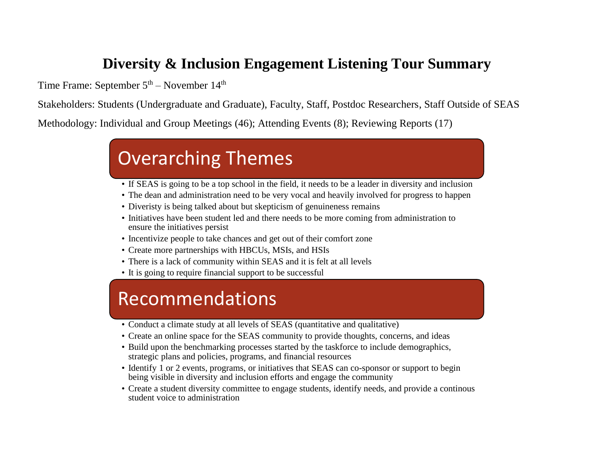## **Diversity & Inclusion Engagement Listening Tour Summary**

Time Frame: September  $5<sup>th</sup>$  – November  $14<sup>th</sup>$ 

Stakeholders: Students (Undergraduate and Graduate), Faculty, Staff, Postdoc Researchers, Staff Outside of SEAS

Methodology: Individual and Group Meetings (46); Attending Events (8); Reviewing Reports (17)

# Overarching Themes

- If SEAS is going to be a top school in the field, it needs to be a leader in diversity and inclusion
- The dean and administration need to be very vocal and heavily involved for progress to happen
- Diveristy is being talked about but skepticism of genuineness remains
- Initiatives have been student led and there needs to be more coming from administration to ensure the initiatives persist
- Incentivize people to take chances and get out of their comfort zone
- Create more partnerships with HBCUs, MSIs, and HSIs
- There is a lack of community within SEAS and it is felt at all levels
- It is going to require financial support to be successful

# Recommendations

- Conduct a climate study at all levels of SEAS (quantitative and qualitative)
- Create an online space for the SEAS community to provide thoughts, concerns, and ideas
- Build upon the benchmarking processes started by the taskforce to include demographics, strategic plans and policies, programs, and financial resources
- Identify 1 or 2 events, programs, or initiatives that SEAS can co-sponsor or support to begin being visible in diversity and inclusion efforts and engage the community
- Create a student diversity committee to engage students, identify needs, and provide a continous student voice to administration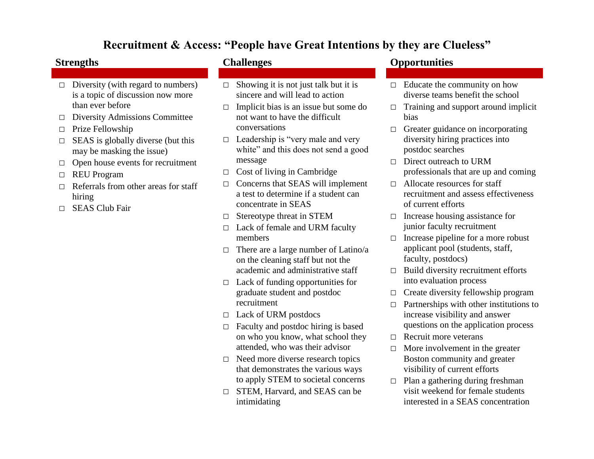## **Recruitment & Access: "People have Great Intentions by they are Clueless"**

- $\Box$  Diversity (with regard to numbers) is a topic of discussion now more than ever before
- □ Diversity Admissions Committee
- □ Prize Fellowship
- $\Box$  SEAS is globally diverse (but this may be masking the issue)
- □ Open house events for recruitment
- □ REU Program
- $\Box$  Referrals from other areas for staff hiring
- □ SEAS Club Fair

- $\Box$  Showing it is not just talk but it is sincere and will lead to action
- $\Box$  Implicit bias is an issue but some do not want to have the difficult conversations
- $\Box$  Leadership is "very male and very white" and this does not send a good message
- $\Box$  Cost of living in Cambridge
- $\Box$  Concerns that SEAS will implement a test to determine if a student can concentrate in SEAS
- □ Stereotype threat in STEM
- □ Lack of female and URM faculty members
- $\Box$  There are a large number of Latino/a on the cleaning staff but not the academic and administrative staff
- $\Box$  Lack of funding opportunities for graduate student and postdoc recruitment
- □ Lack of URM postdocs
- $\Box$  Faculty and postdoc hiring is based on who you know, what school they attended, who was their advisor
- □ Need more diverse research topics that demonstrates the various ways to apply STEM to societal concerns
- □ STEM, Harvard, and SEAS can be intimidating

### **Strengths Challenges Opportunities**

- $\Box$  Educate the community on how diverse teams benefit the school
- $\Box$  Training and support around implicit bias
- □ Greater guidance on incorporating diversity hiring practices into postdoc searches
- $\Box$  Direct outreach to URM professionals that are up and coming
- □ Allocate resources for staff recruitment and assess effectiveness of current efforts
- □ Increase housing assistance for junior faculty recruitment
- □ Increase pipeline for a more robust applicant pool (students, staff, faculty, postdocs)
- $\Box$  Build diversity recruitment efforts into evaluation process
- □ Create diversity fellowship program
- $\Box$  Partnerships with other institutions to increase visibility and answer questions on the application process
- $\Box$  Recruit more veterans
- $\Box$  More involvement in the greater Boston community and greater visibility of current efforts
- $\Box$  Plan a gathering during freshman visit weekend for female students interested in a SEAS concentration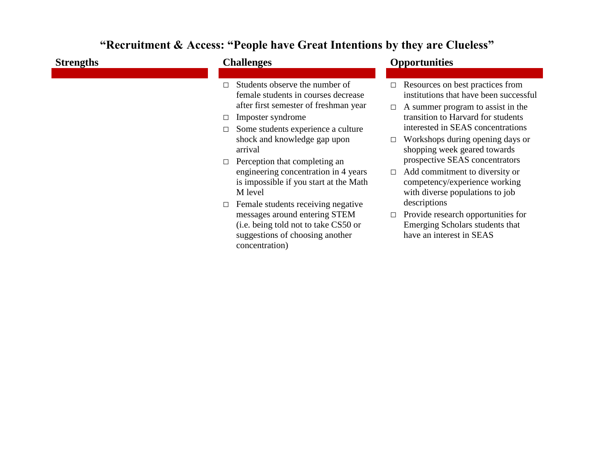## **"Recruitment & Access: "People have Great Intentions by they are Clueless"**

| <b>Strengths</b> | <b>Challenges</b>                                                                                                                                                                                                                                                                                                                                                                                                                                                                                                      | <b>Opportunities</b>                                                                                                                                                                                                                                                                                                                                                                                                                                                                                                                                                       |
|------------------|------------------------------------------------------------------------------------------------------------------------------------------------------------------------------------------------------------------------------------------------------------------------------------------------------------------------------------------------------------------------------------------------------------------------------------------------------------------------------------------------------------------------|----------------------------------------------------------------------------------------------------------------------------------------------------------------------------------------------------------------------------------------------------------------------------------------------------------------------------------------------------------------------------------------------------------------------------------------------------------------------------------------------------------------------------------------------------------------------------|
|                  | Students observe the number of<br>female students in courses decrease<br>after first semester of freshman year<br>Imposter syndrome<br>Some students experience a culture<br>shock and knowledge gap upon<br>arrival<br>Perception that completing an<br>engineering concentration in 4 years<br>is impossible if you start at the Math<br>M level<br>Female students receiving negative<br>messages around entering STEM<br>(i.e. being told not to take CS50 or<br>suggestions of choosing another<br>concentration) | $\Box$ Resources on best practices from<br>institutions that have been successful<br>A summer program to assist in the<br>$\Box$<br>transition to Harvard for students<br>interested in SEAS concentrations<br>Workshops during opening days or<br>$\Box$<br>shopping week geared towards<br>prospective SEAS concentrators<br>Add commitment to diversity or<br>$\Box$<br>competency/experience working<br>with diverse populations to job<br>descriptions<br>Provide research opportunities for<br>$\Box$<br>Emerging Scholars students that<br>have an interest in SEAS |
|                  |                                                                                                                                                                                                                                                                                                                                                                                                                                                                                                                        |                                                                                                                                                                                                                                                                                                                                                                                                                                                                                                                                                                            |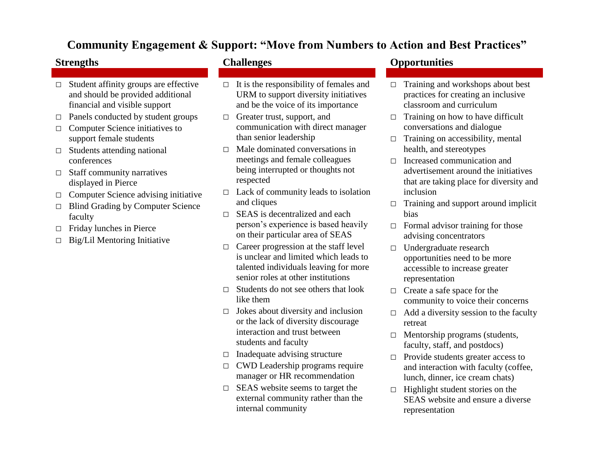### **Community Engagement & Support: "Move from Numbers to Action and Best Practices"**

- □ Student affinity groups are effective and should be provided additional financial and visible support
- $\Box$  Panels conducted by student groups
- □ Computer Science initiatives to support female students
- $\Box$  Students attending national conferences
- $\Box$  Staff community narratives displayed in Pierce
- □ Computer Science advising initiative
- □ Blind Grading by Computer Science faculty
- □ Friday lunches in Pierce
- $\Box$  Big/Lil Mentoring Initiative

- $\Box$  It is the responsibility of females and URM to support diversity initiatives and be the voice of its importance
- □ Greater trust, support, and communication with direct manager than senior leadership
- $\neg$  Male dominated conversations in meetings and female colleagues being interrupted or thoughts not respected
- $\Box$  Lack of community leads to isolation and cliques
- $\Box$  SEAS is decentralized and each person's experience is based heavily on their particular area of SEAS
- $\Box$  Career progression at the staff level is unclear and limited which leads to talented individuals leaving for more senior roles at other institutions
- $\Box$  Students do not see others that look like them
- $\Box$  Jokes about diversity and inclusion or the lack of diversity discourage interaction and trust between students and faculty
- $\Box$  Inadequate advising structure
- □ CWD Leadership programs require manager or HR recommendation
- $\Box$  SEAS website seems to target the external community rather than the internal community

### **Strengths Challenges Opportunities**

- $\Box$  Training and workshops about best practices for creating an inclusive classroom and curriculum
- $\Box$  Training on how to have difficult conversations and dialogue
- $\Box$  Training on accessibility, mental health, and stereotypes
- □ Increased communication and advertisement around the initiatives that are taking place for diversity and inclusion
- $\Box$  Training and support around implicit bias
- $\Box$  Formal advisor training for those advising concentrators
- □ Undergraduate research opportunities need to be more accessible to increase greater representation
- $\Box$  Create a safe space for the community to voice their concerns
- $\Box$  Add a diversity session to the faculty retreat
- □ Mentorship programs (students, faculty, staff, and postdocs)
- □ Provide students greater access to and interaction with faculty (coffee, lunch, dinner, ice cream chats)
- $\Box$  Highlight student stories on the SEAS website and ensure a diverse representation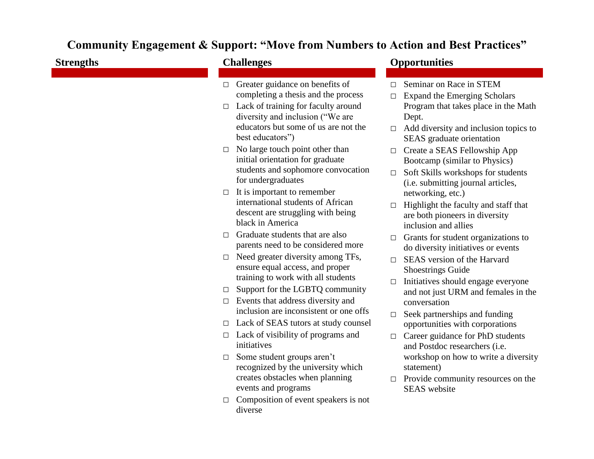## **Community Engagement & Support: "Move from Numbers to Action and Best Practices"**

| <b>Strengths</b> | <b>Challenges</b>                                                                                                                                                                                             | <b>Opportunities</b>                                                                                                                                                                                           |
|------------------|---------------------------------------------------------------------------------------------------------------------------------------------------------------------------------------------------------------|----------------------------------------------------------------------------------------------------------------------------------------------------------------------------------------------------------------|
|                  | Greater guidance on benefits of<br>completing a thesis and the process<br>Lack of training for faculty around<br>diversity and inclusion ("We are<br>educators but some of us are not the<br>best educators") | Seminar on Race in STEM<br>П<br><b>Expand the Emerging Scholars</b><br>$\Box$<br>Program that takes place in the Math<br>Dept.<br>Add diversity and inclusion topics to<br>$\Box$<br>SEAS graduate orientation |
|                  | No large touch point other than<br>initial orientation for graduate<br>students and sophomore convocation<br>for undergraduates                                                                               | Create a SEAS Fellowship App<br>$\Box$<br>Bootcamp (similar to Physics)<br>Soft Skills workshops for students<br>$\Box$<br>(i.e. submitting journal articles,                                                  |
|                  | $\Box$ It is important to remember<br>international students of African<br>descent are struggling with being<br>black in America                                                                              | networking, etc.)<br>Highlight the faculty and staff that<br>are both pioneers in diversity<br>inclusion and allies                                                                                            |
| П                | Graduate students that are also<br>parents need to be considered more                                                                                                                                         | Grants for student organizations to<br>$\Box$                                                                                                                                                                  |
| $\Box$           | Need greater diversity among TFs,<br>ensure equal access, and proper<br>training to work with all students                                                                                                    | do diversity initiatives or events<br>SEAS version of the Harvard<br><b>Shoestrings Guide</b>                                                                                                                  |
| $\Box$           | Support for the LGBTQ community                                                                                                                                                                               | Initiatives should engage everyone<br>$\Box$<br>and not just URM and females in the                                                                                                                            |
| $\Box$           | Events that address diversity and<br>inclusion are inconsistent or one offs                                                                                                                                   | conversation<br>Seek partnerships and funding<br>$\Box$                                                                                                                                                        |
| $\Box$           | Lack of SEAS tutors at study counsel<br>opportunities with corporations                                                                                                                                       |                                                                                                                                                                                                                |
| □                | Lack of visibility of programs and<br>initiatives                                                                                                                                                             | Career guidance for PhD students<br>$\Box$<br>and Postdoc researchers (i.e.                                                                                                                                    |
| $\Box$<br>$\Box$ | Some student groups aren't<br>recognized by the university which<br>creates obstacles when planning<br>events and programs<br>Composition of event speakers is not<br>diverse                                 | workshop on how to write a diversity<br>statement)<br>Provide community resources on the<br>$\Box$<br><b>SEAS</b> website                                                                                      |